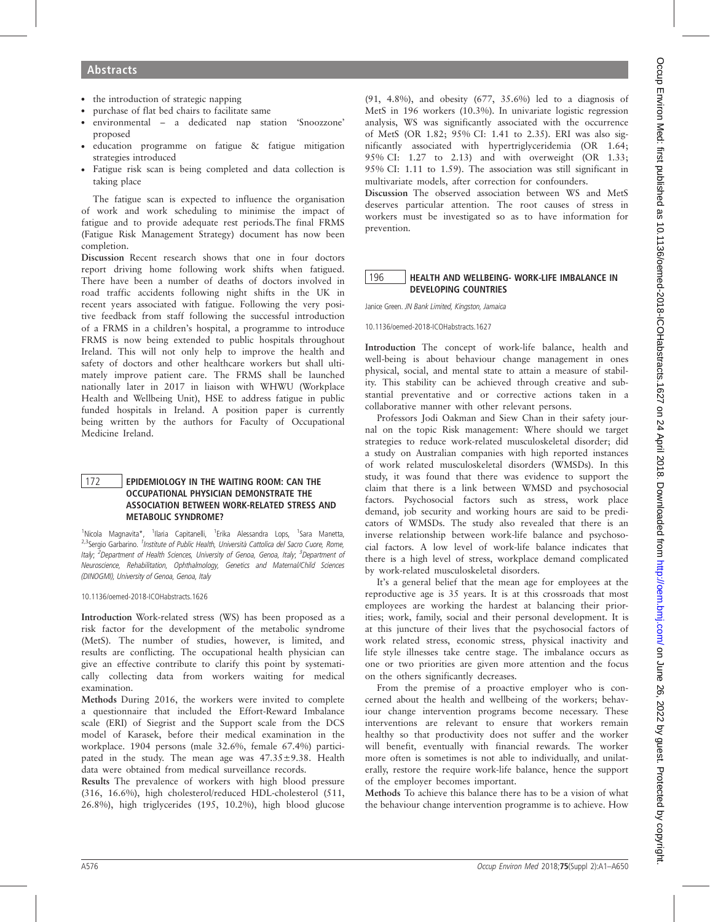- . the introduction of strategic napping
- . purchase of flat bed chairs to facilitate same
- . environmental a dedicated nap station 'Snoozzone' proposed
- . education programme on fatigue & fatigue mitigation strategies introduced
- . Fatigue risk scan is being completed and data collection is taking place

The fatigue scan is expected to influence the organisation of work and work scheduling to minimise the impact of fatigue and to provide adequate rest periods.The final FRMS (Fatigue Risk Management Strategy) document has now been completion.

Discussion Recent research shows that one in four doctors report driving home following work shifts when fatigued. There have been a number of deaths of doctors involved in road traffic accidents following night shifts in the UK in recent years associated with fatigue. Following the very positive feedback from staff following the successful introduction of a FRMS in a children's hospital, a programme to introduce FRMS is now being extended to public hospitals throughout Ireland. This will not only help to improve the health and safety of doctors and other healthcare workers but shall ultimately improve patient care. The FRMS shall be launched nationally later in 2017 in liaison with WHWU (Workplace Health and Wellbeing Unit), HSE to address fatigue in public funded hospitals in Ireland. A position paper is currently being written by the authors for Faculty of Occupational Medicine Ireland.

## 172 | EPIDEMIOLOGY IN THE WAITING ROOM: CAN THE OCCUPATIONAL PHYSICIAN DEMONSTRATE THE ASSOCIATION BETWEEN WORK-RELATED STRESS AND METABOLIC SYNDROME?

<sup>1</sup>Nicola Magnavita\*, <sup>1</sup>Ilaria Capitanelli, <sup>1</sup>Erika Alessandra Lops, <sup>1</sup>Sara Manetta, <sup>2,3</sup>Sergio Garbarino. <sup>1</sup>Institute of Public Health, Università Cattolica del Sacro Cuore, Rome, Italy; <sup>2</sup>Department of Health Sciences, University of Genoa, Genoa, Italy; <sup>3</sup>Department of Neuroscience, Rehabilitation, Ophthalmology, Genetics and Maternal/Child Sciences (DINOGMI), University of Genoa, Genoa, Italy

10.1136/oemed-2018-ICOHabstracts.1626

Introduction Work-related stress (WS) has been proposed as a risk factor for the development of the metabolic syndrome (MetS). The number of studies, however, is limited, and results are conflicting. The occupational health physician can give an effective contribute to clarify this point by systematically collecting data from workers waiting for medical examination.

Methods During 2016, the workers were invited to complete a questionnaire that included the Effort-Reward Imbalance scale (ERI) of Siegrist and the Support scale from the DCS model of Karasek, before their medical examination in the workplace. 1904 persons (male 32.6%, female 67.4%) participated in the study. The mean age was  $47.35 \pm 9.38$ . Health data were obtained from medical surveillance records.

Results The prevalence of workers with high blood pressure (316, 16.6%), high cholesterol/reduced HDL-cholesterol (511, 26.8%), high triglycerides (195, 10.2%), high blood glucose

(91, 4.8%), and obesity (677, 35.6%) led to a diagnosis of MetS in 196 workers (10.3%). In univariate logistic regression analysis, WS was significantly associated with the occurrence of MetS (OR 1.82; 95% CI: 1.41 to 2.35). ERI was also significantly associated with hypertriglyceridemia (OR 1.64; 95% CI: 1.27 to 2.13) and with overweight (OR 1.33; 95% CI: 1.11 to 1.59). The association was still significant in multivariate models, after correction for confounders.

Discussion The observed association between WS and MetS deserves particular attention. The root causes of stress in workers must be investigated so as to have information for prevention.

## 196 | HEALTH AND WELLBEING- WORK-LIFE IMBALANCE IN DEVELOPING COUNTRIES

Janice Green. JN Bank Limited, Kingston, Jamaica

10.1136/oemed-2018-ICOHabstracts.1627

Introduction The concept of work-life balance, health and well-being is about behaviour change management in ones physical, social, and mental state to attain a measure of stability. This stability can be achieved through creative and substantial preventative and or corrective actions taken in a collaborative manner with other relevant persons.

Professors Jodi Oakman and Siew Chan in their safety journal on the topic Risk management: Where should we target strategies to reduce work-related musculoskeletal disorder; did a study on Australian companies with high reported instances of work related musculoskeletal disorders (WMSDs). In this study, it was found that there was evidence to support the claim that there is a link between WMSD and psychosocial factors. Psychosocial factors such as stress, work place demand, job security and working hours are said to be predicators of WMSDs. The study also revealed that there is an inverse relationship between work-life balance and psychosocial factors. A low level of work-life balance indicates that there is a high level of stress, workplace demand complicated by work-related musculoskeletal disorders.

It's a general belief that the mean age for employees at the reproductive age is 35 years. It is at this crossroads that most employees are working the hardest at balancing their priorities; work, family, social and their personal development. It is at this juncture of their lives that the psychosocial factors of work related stress, economic stress, physical inactivity and life style illnesses take centre stage. The imbalance occurs as one or two priorities are given more attention and the focus on the others significantly decreases.

From the premise of a proactive employer who is concerned about the health and wellbeing of the workers; behaviour change intervention programs become necessary. These interventions are relevant to ensure that workers remain healthy so that productivity does not suffer and the worker will benefit, eventually with financial rewards. The worker more often is sometimes is not able to individually, and unilaterally, restore the require work-life balance, hence the support of the employer becomes important.

Methods To achieve this balance there has to be a vision of what the behaviour change intervention programme is to achieve. How